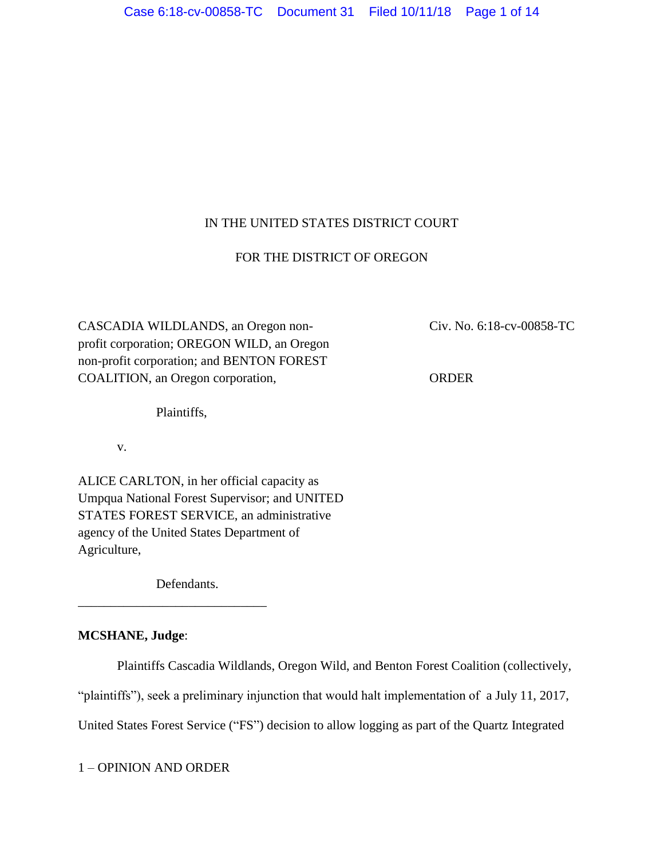# IN THE UNITED STATES DISTRICT COURT

# FOR THE DISTRICT OF OREGON

CASCADIA WILDLANDS, an Oregon non- Civ. No. 6:18-cv-00858-TC profit corporation; OREGON WILD, an Oregon non-profit corporation; and BENTON FOREST COALITION, an Oregon corporation, ORDER

Plaintiffs,

v.

ALICE CARLTON, in her official capacity as Umpqua National Forest Supervisor; and UNITED STATES FOREST SERVICE, an administrative agency of the United States Department of Agriculture,

Defendants.

\_\_\_\_\_\_\_\_\_\_\_\_\_\_\_\_\_\_\_\_\_\_\_\_\_\_\_\_\_

# **MCSHANE, Judge**:

Plaintiffs Cascadia Wildlands, Oregon Wild, and Benton Forest Coalition (collectively,

"plaintiffs"), seek a preliminary injunction that would halt implementation of a July 11, 2017,

United States Forest Service ("FS") decision to allow logging as part of the Quartz Integrated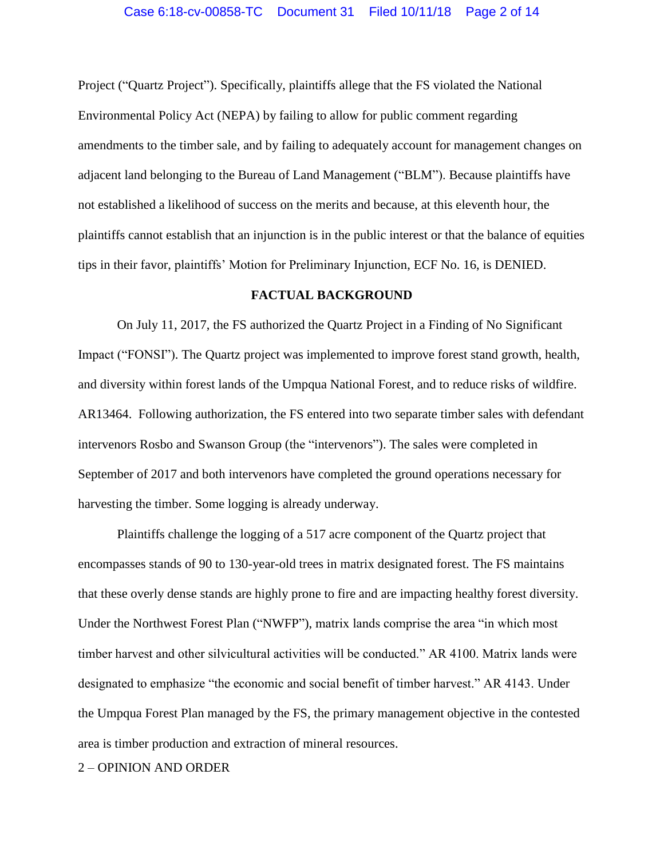Project ("Quartz Project"). Specifically, plaintiffs allege that the FS violated the National Environmental Policy Act (NEPA) by failing to allow for public comment regarding amendments to the timber sale, and by failing to adequately account for management changes on adjacent land belonging to the Bureau of Land Management ("BLM"). Because plaintiffs have not established a likelihood of success on the merits and because, at this eleventh hour, the plaintiffs cannot establish that an injunction is in the public interest or that the balance of equities tips in their favor, plaintiffs' Motion for Preliminary Injunction, ECF No. 16, is DENIED.

# **FACTUAL BACKGROUND**

On July 11, 2017, the FS authorized the Quartz Project in a Finding of No Significant Impact ("FONSI"). The Quartz project was implemented to improve forest stand growth, health, and diversity within forest lands of the Umpqua National Forest, and to reduce risks of wildfire. AR13464. Following authorization, the FS entered into two separate timber sales with defendant intervenors Rosbo and Swanson Group (the "intervenors"). The sales were completed in September of 2017 and both intervenors have completed the ground operations necessary for harvesting the timber. Some logging is already underway.

Plaintiffs challenge the logging of a 517 acre component of the Quartz project that encompasses stands of 90 to 130-year-old trees in matrix designated forest. The FS maintains that these overly dense stands are highly prone to fire and are impacting healthy forest diversity. Under the Northwest Forest Plan ("NWFP"), matrix lands comprise the area "in which most timber harvest and other silvicultural activities will be conducted." AR 4100. Matrix lands were designated to emphasize "the economic and social benefit of timber harvest." AR 4143. Under the Umpqua Forest Plan managed by the FS, the primary management objective in the contested area is timber production and extraction of mineral resources.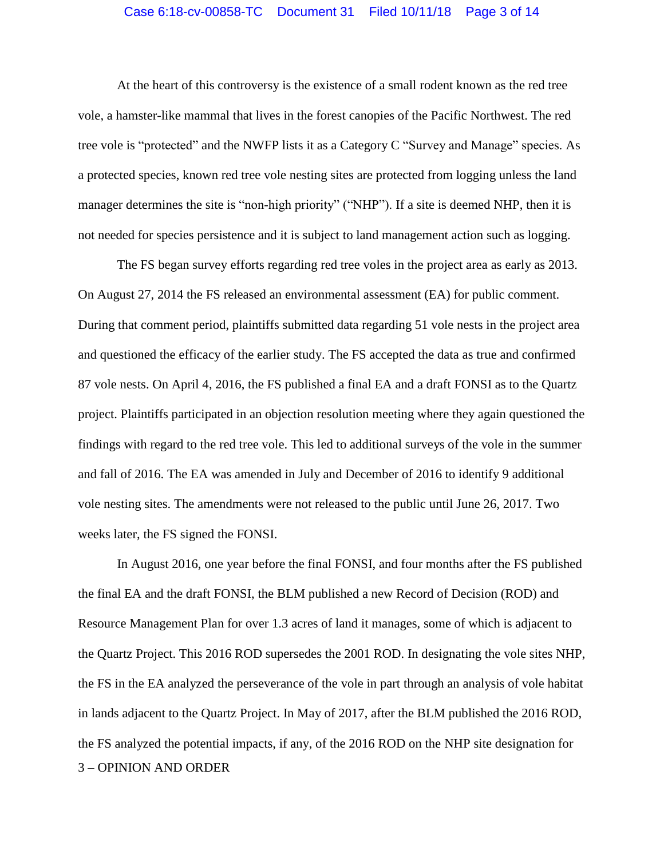### Case 6:18-cv-00858-TC Document 31 Filed 10/11/18 Page 3 of 14

At the heart of this controversy is the existence of a small rodent known as the red tree vole, a hamster-like mammal that lives in the forest canopies of the Pacific Northwest. The red tree vole is "protected" and the NWFP lists it as a Category C "Survey and Manage" species. As a protected species, known red tree vole nesting sites are protected from logging unless the land manager determines the site is "non-high priority" ("NHP"). If a site is deemed NHP, then it is not needed for species persistence and it is subject to land management action such as logging.

The FS began survey efforts regarding red tree voles in the project area as early as 2013. On August 27, 2014 the FS released an environmental assessment (EA) for public comment. During that comment period, plaintiffs submitted data regarding 51 vole nests in the project area and questioned the efficacy of the earlier study. The FS accepted the data as true and confirmed 87 vole nests. On April 4, 2016, the FS published a final EA and a draft FONSI as to the Quartz project. Plaintiffs participated in an objection resolution meeting where they again questioned the findings with regard to the red tree vole. This led to additional surveys of the vole in the summer and fall of 2016. The EA was amended in July and December of 2016 to identify 9 additional vole nesting sites. The amendments were not released to the public until June 26, 2017. Two weeks later, the FS signed the FONSI.

3 – OPINION AND ORDER In August 2016, one year before the final FONSI, and four months after the FS published the final EA and the draft FONSI, the BLM published a new Record of Decision (ROD) and Resource Management Plan for over 1.3 acres of land it manages, some of which is adjacent to the Quartz Project. This 2016 ROD supersedes the 2001 ROD. In designating the vole sites NHP, the FS in the EA analyzed the perseverance of the vole in part through an analysis of vole habitat in lands adjacent to the Quartz Project. In May of 2017, after the BLM published the 2016 ROD, the FS analyzed the potential impacts, if any, of the 2016 ROD on the NHP site designation for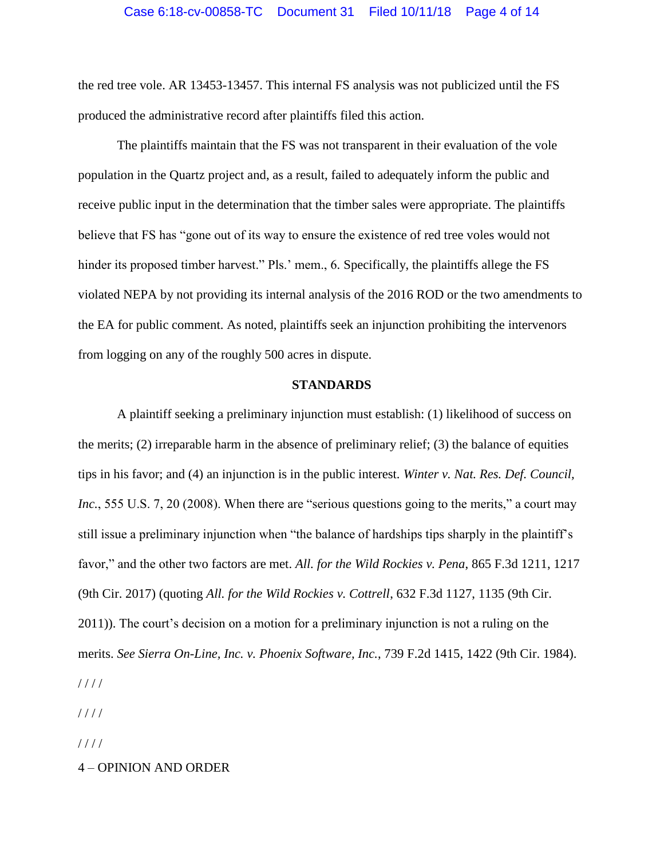the red tree vole. AR 13453-13457. This internal FS analysis was not publicized until the FS produced the administrative record after plaintiffs filed this action.

The plaintiffs maintain that the FS was not transparent in their evaluation of the vole population in the Quartz project and, as a result, failed to adequately inform the public and receive public input in the determination that the timber sales were appropriate. The plaintiffs believe that FS has "gone out of its way to ensure the existence of red tree voles would not hinder its proposed timber harvest." Pls.' mem., 6. Specifically, the plaintiffs allege the FS violated NEPA by not providing its internal analysis of the 2016 ROD or the two amendments to the EA for public comment. As noted, plaintiffs seek an injunction prohibiting the intervenors from logging on any of the roughly 500 acres in dispute.

## **STANDARDS**

A plaintiff seeking a preliminary injunction must establish: (1) likelihood of success on the merits; (2) irreparable harm in the absence of preliminary relief; (3) the balance of equities tips in his favor; and (4) an injunction is in the public interest. *Winter v. Nat. Res. Def. Council, Inc.*, 555 U.S. 7, 20 (2008). When there are "serious questions going to the merits," a court may still issue a preliminary injunction when "the balance of hardships tips sharply in the plaintiff's favor," and the other two factors are met. *All. for the Wild Rockies v. Pena*, 865 F.3d 1211, 1217 (9th Cir. 2017) (quoting *All. for the Wild Rockies v. Cottrell*, 632 F.3d 1127, 1135 (9th Cir. 2011)). The court's decision on a motion for a preliminary injunction is not a ruling on the merits. *See Sierra On-Line, Inc. v. Phoenix Software, Inc.*, 739 F.2d 1415, 1422 (9th Cir. 1984). / / / /

/ / / /

 $1111$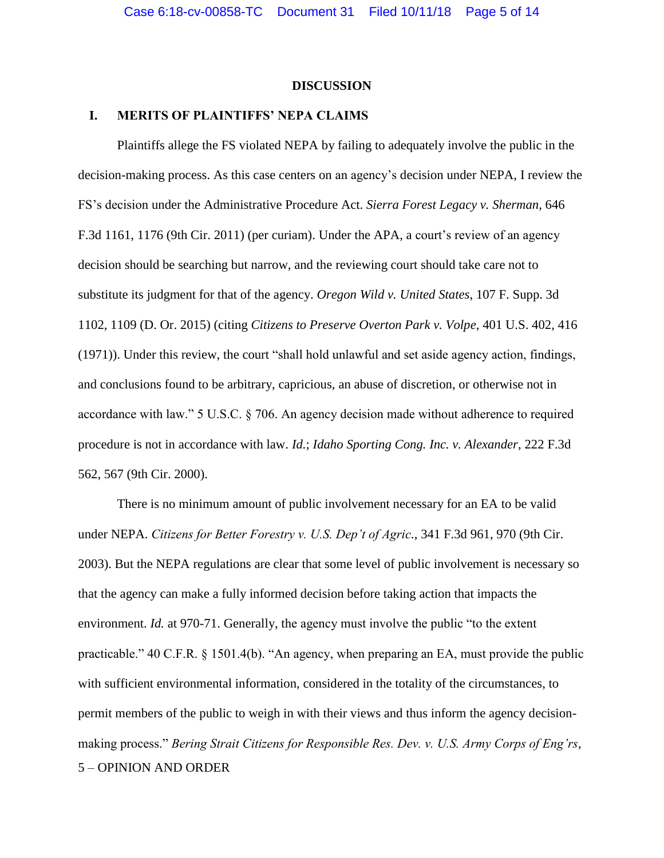### **DISCUSSION**

# **I. MERITS OF PLAINTIFFS' NEPA CLAIMS**

Plaintiffs allege the FS violated NEPA by failing to adequately involve the public in the decision-making process. As this case centers on an agency's decision under NEPA, I review the FS's decision under the Administrative Procedure Act. *Sierra Forest Legacy v. Sherman*, 646 F.3d 1161, 1176 (9th Cir. 2011) (per curiam). Under the APA, a court's review of an agency decision should be searching but narrow, and the reviewing court should take care not to substitute its judgment for that of the agency. *Oregon Wild v. United States*, 107 F. Supp. 3d 1102, 1109 (D. Or. 2015) (citing *Citizens to Preserve Overton Park v. Volpe*, 401 U.S. 402, 416 (1971)). Under this review, the court "shall hold unlawful and set aside agency action, findings, and conclusions found to be arbitrary, capricious, an abuse of discretion, or otherwise not in accordance with law." 5 U.S.C. § 706. An agency decision made without adherence to required procedure is not in accordance with law. *Id.*; *Idaho Sporting Cong. Inc. v. Alexander*, 222 F.3d 562, 567 (9th Cir. 2000).

5 – OPINION AND ORDER There is no minimum amount of public involvement necessary for an EA to be valid under NEPA. *Citizens for Better Forestry v. U.S. Dep't of Agric.*, 341 F.3d 961, 970 (9th Cir. 2003). But the NEPA regulations are clear that some level of public involvement is necessary so that the agency can make a fully informed decision before taking action that impacts the environment. *Id.* at 970-71. Generally, the agency must involve the public "to the extent" practicable." 40 C.F.R. § 1501.4(b). "An agency, when preparing an EA, must provide the public with sufficient environmental information, considered in the totality of the circumstances, to permit members of the public to weigh in with their views and thus inform the agency decisionmaking process." *Bering Strait Citizens for Responsible Res. Dev. v. U.S. Army Corps of Eng'rs*,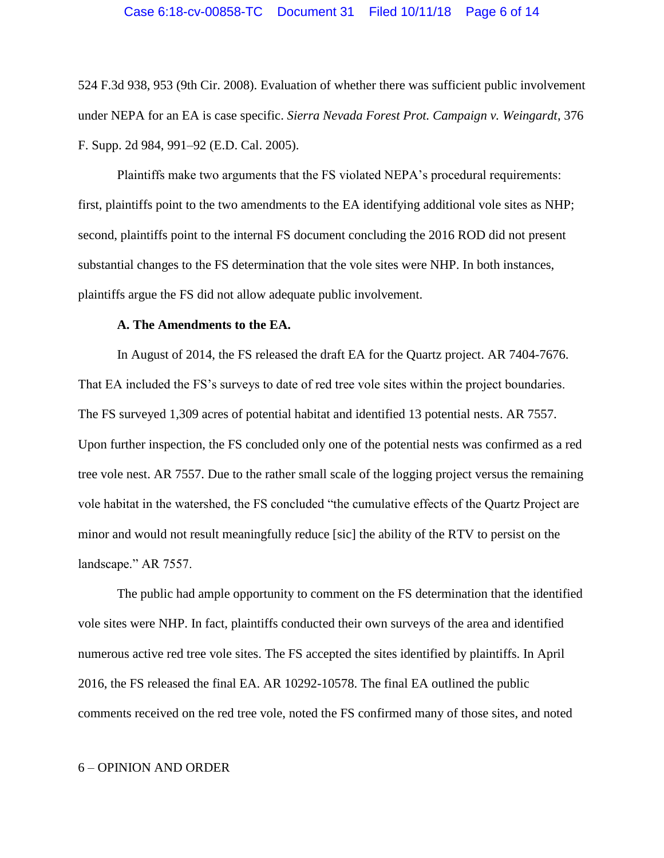#### Case 6:18-cv-00858-TC Document 31 Filed 10/11/18 Page 6 of 14

524 F.3d 938, 953 (9th Cir. 2008). Evaluation of whether there was sufficient public involvement under NEPA for an EA is case specific. *Sierra Nevada Forest Prot. Campaign v. Weingardt*, 376 F. Supp. 2d 984, 991–92 (E.D. Cal. 2005).

Plaintiffs make two arguments that the FS violated NEPA's procedural requirements: first, plaintiffs point to the two amendments to the EA identifying additional vole sites as NHP; second, plaintiffs point to the internal FS document concluding the 2016 ROD did not present substantial changes to the FS determination that the vole sites were NHP. In both instances, plaintiffs argue the FS did not allow adequate public involvement.

#### **A. The Amendments to the EA.**

In August of 2014, the FS released the draft EA for the Quartz project. AR 7404-7676. That EA included the FS's surveys to date of red tree vole sites within the project boundaries. The FS surveyed 1,309 acres of potential habitat and identified 13 potential nests. AR 7557. Upon further inspection, the FS concluded only one of the potential nests was confirmed as a red tree vole nest. AR 7557. Due to the rather small scale of the logging project versus the remaining vole habitat in the watershed, the FS concluded "the cumulative effects of the Quartz Project are minor and would not result meaningfully reduce [sic] the ability of the RTV to persist on the landscape." AR 7557.

The public had ample opportunity to comment on the FS determination that the identified vole sites were NHP. In fact, plaintiffs conducted their own surveys of the area and identified numerous active red tree vole sites. The FS accepted the sites identified by plaintiffs. In April 2016, the FS released the final EA. AR 10292-10578. The final EA outlined the public comments received on the red tree vole, noted the FS confirmed many of those sites, and noted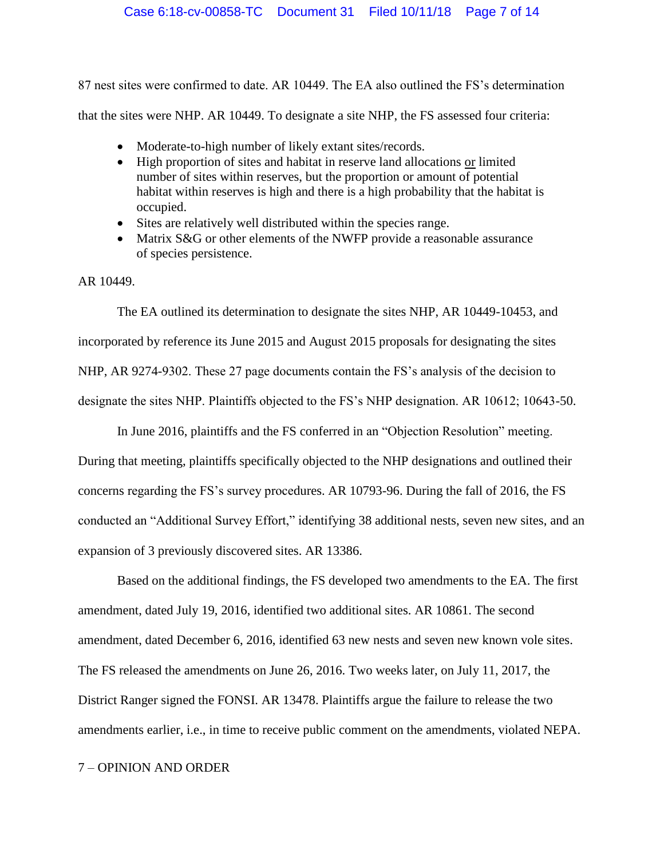87 nest sites were confirmed to date. AR 10449. The EA also outlined the FS's determination that the sites were NHP. AR 10449. To designate a site NHP, the FS assessed four criteria:

- Moderate-to-high number of likely extant sites/records.
- High proportion of sites and habitat in reserve land allocations or limited number of sites within reserves, but the proportion or amount of potential habitat within reserves is high and there is a high probability that the habitat is occupied.
- Sites are relatively well distributed within the species range.
- Matrix S&G or other elements of the NWFP provide a reasonable assurance of species persistence.

AR 10449.

The EA outlined its determination to designate the sites NHP, AR 10449-10453, and incorporated by reference its June 2015 and August 2015 proposals for designating the sites NHP, AR 9274-9302. These 27 page documents contain the FS's analysis of the decision to designate the sites NHP. Plaintiffs objected to the FS's NHP designation. AR 10612; 10643-50.

In June 2016, plaintiffs and the FS conferred in an "Objection Resolution" meeting. During that meeting, plaintiffs specifically objected to the NHP designations and outlined their concerns regarding the FS's survey procedures. AR 10793-96. During the fall of 2016, the FS conducted an "Additional Survey Effort," identifying 38 additional nests, seven new sites, and an expansion of 3 previously discovered sites. AR 13386.

Based on the additional findings, the FS developed two amendments to the EA. The first amendment, dated July 19, 2016, identified two additional sites. AR 10861. The second amendment, dated December 6, 2016, identified 63 new nests and seven new known vole sites. The FS released the amendments on June 26, 2016. Two weeks later, on July 11, 2017, the District Ranger signed the FONSI. AR 13478. Plaintiffs argue the failure to release the two amendments earlier, i.e., in time to receive public comment on the amendments, violated NEPA.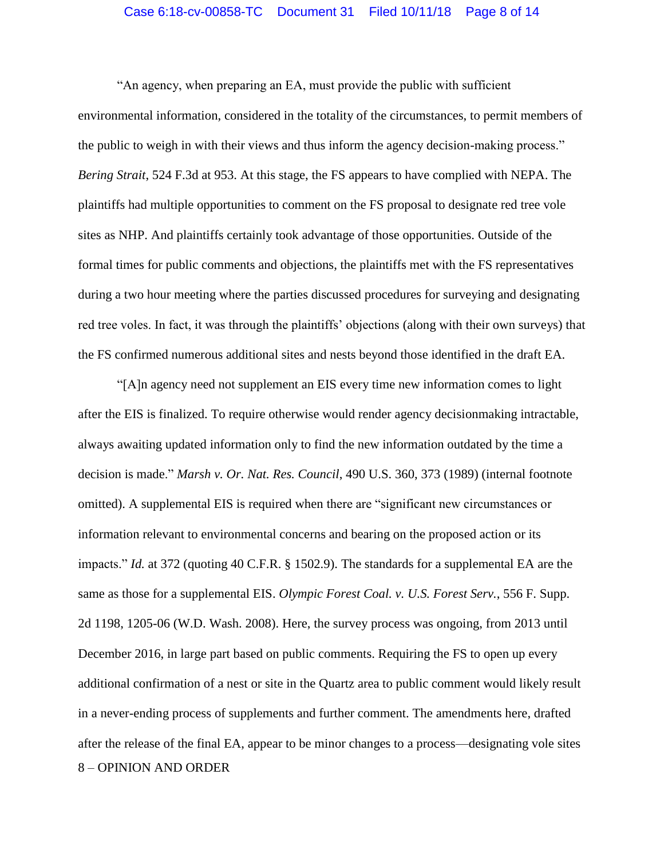#### Case 6:18-cv-00858-TC Document 31 Filed 10/11/18 Page 8 of 14

"An agency, when preparing an EA, must provide the public with sufficient environmental information, considered in the totality of the circumstances, to permit members of the public to weigh in with their views and thus inform the agency decision-making process." *Bering Strait*, 524 F.3d at 953. At this stage, the FS appears to have complied with NEPA. The plaintiffs had multiple opportunities to comment on the FS proposal to designate red tree vole sites as NHP. And plaintiffs certainly took advantage of those opportunities. Outside of the formal times for public comments and objections, the plaintiffs met with the FS representatives during a two hour meeting where the parties discussed procedures for surveying and designating red tree voles. In fact, it was through the plaintiffs' objections (along with their own surveys) that the FS confirmed numerous additional sites and nests beyond those identified in the draft EA.

8 – OPINION AND ORDER "[A]n agency need not supplement an EIS every time new information comes to light after the EIS is finalized. To require otherwise would render agency decisionmaking intractable, always awaiting updated information only to find the new information outdated by the time a decision is made." *Marsh v. Or. Nat. Res. Council*, 490 U.S. 360, 373 (1989) (internal footnote omitted). A supplemental EIS is required when there are "significant new circumstances or information relevant to environmental concerns and bearing on the proposed action or its impacts." *Id.* at 372 (quoting 40 C.F.R. § 1502.9). The standards for a supplemental EA are the same as those for a supplemental EIS. *Olympic Forest Coal. v. U.S. Forest Serv.*, 556 F. Supp. 2d 1198, 1205-06 (W.D. Wash. 2008). Here, the survey process was ongoing, from 2013 until December 2016, in large part based on public comments. Requiring the FS to open up every additional confirmation of a nest or site in the Quartz area to public comment would likely result in a never-ending process of supplements and further comment. The amendments here, drafted after the release of the final EA, appear to be minor changes to a process—designating vole sites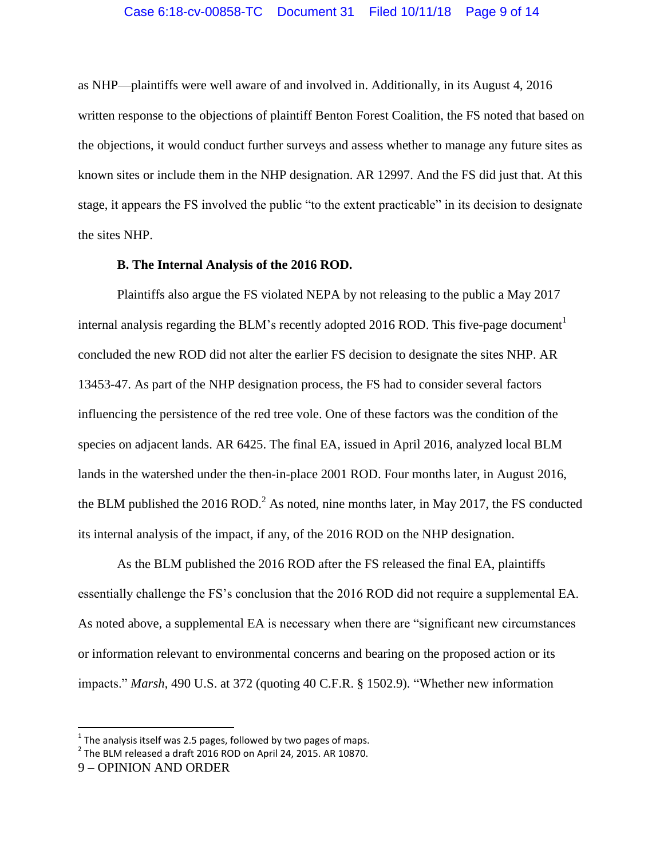as NHP—plaintiffs were well aware of and involved in. Additionally, in its August 4, 2016 written response to the objections of plaintiff Benton Forest Coalition, the FS noted that based on the objections, it would conduct further surveys and assess whether to manage any future sites as known sites or include them in the NHP designation. AR 12997. And the FS did just that. At this stage, it appears the FS involved the public "to the extent practicable" in its decision to designate the sites NHP.

#### **B. The Internal Analysis of the 2016 ROD.**

Plaintiffs also argue the FS violated NEPA by not releasing to the public a May 2017 internal analysis regarding the BLM's recently adopted 2016 ROD. This five-page document<sup>1</sup> concluded the new ROD did not alter the earlier FS decision to designate the sites NHP. AR 13453-47. As part of the NHP designation process, the FS had to consider several factors influencing the persistence of the red tree vole. One of these factors was the condition of the species on adjacent lands. AR 6425. The final EA, issued in April 2016, analyzed local BLM lands in the watershed under the then-in-place 2001 ROD. Four months later, in August 2016, the BLM published the 2016 ROD.<sup>2</sup> As noted, nine months later, in May 2017, the FS conducted its internal analysis of the impact, if any, of the 2016 ROD on the NHP designation.

As the BLM published the 2016 ROD after the FS released the final EA, plaintiffs essentially challenge the FS's conclusion that the 2016 ROD did not require a supplemental EA. As noted above, a supplemental EA is necessary when there are "significant new circumstances or information relevant to environmental concerns and bearing on the proposed action or its impacts." *Marsh*, 490 U.S. at 372 (quoting 40 C.F.R. § 1502.9). "Whether new information

**The analysis itself was 2.5 pages, followed by two pages of maps.** 

 $^2$  The BLM released a draft 2016 ROD on April 24, 2015. AR 10870.

<sup>9</sup> – OPINION AND ORDER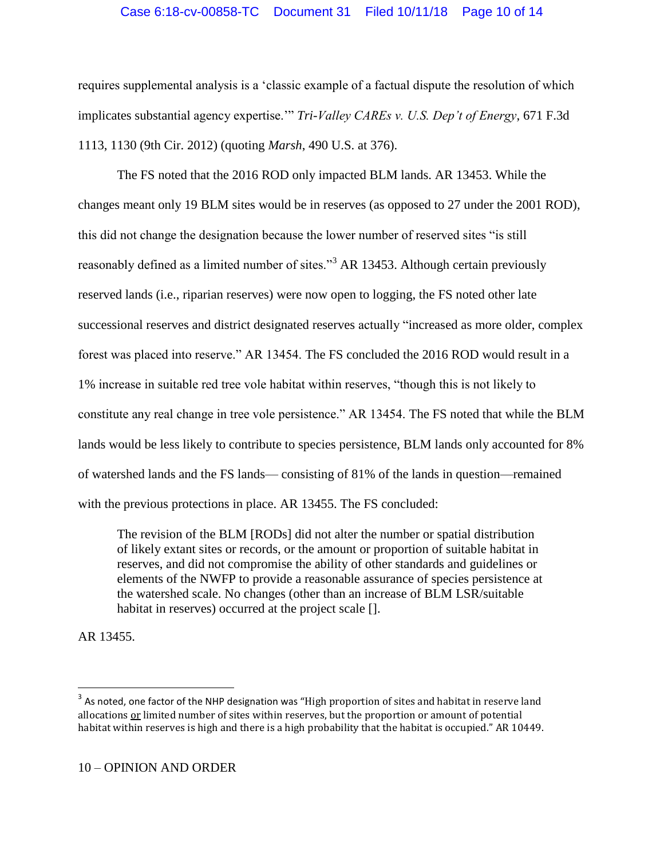# Case 6:18-cv-00858-TC Document 31 Filed 10/11/18 Page 10 of 14

requires supplemental analysis is a 'classic example of a factual dispute the resolution of which implicates substantial agency expertise.'" *Tri-Valley CAREs v. U.S. Dep't of Energy*, 671 F.3d 1113, 1130 (9th Cir. 2012) (quoting *Marsh*, 490 U.S. at 376).

The FS noted that the 2016 ROD only impacted BLM lands. AR 13453. While the changes meant only 19 BLM sites would be in reserves (as opposed to 27 under the 2001 ROD), this did not change the designation because the lower number of reserved sites "is still reasonably defined as a limited number of sites."<sup>3</sup> AR 13453. Although certain previously reserved lands (i.e., riparian reserves) were now open to logging, the FS noted other late successional reserves and district designated reserves actually "increased as more older, complex forest was placed into reserve." AR 13454. The FS concluded the 2016 ROD would result in a 1% increase in suitable red tree vole habitat within reserves, "though this is not likely to constitute any real change in tree vole persistence." AR 13454. The FS noted that while the BLM lands would be less likely to contribute to species persistence, BLM lands only accounted for 8% of watershed lands and the FS lands— consisting of 81% of the lands in question—remained with the previous protections in place. AR 13455. The FS concluded:

The revision of the BLM [RODs] did not alter the number or spatial distribution of likely extant sites or records, or the amount or proportion of suitable habitat in reserves, and did not compromise the ability of other standards and guidelines or elements of the NWFP to provide a reasonable assurance of species persistence at the watershed scale. No changes (other than an increase of BLM LSR/suitable habitat in reserves) occurred at the project scale [].

AR 13455.

 $\overline{\phantom{a}}$ 

 $^3$  As noted, one factor of the NHP designation was "High proportion of sites and habitat in reserve land allocations or limited number of sites within reserves, but the proportion or amount of potential habitat within reserves is high and there is a high probability that the habitat is occupied." AR 10449.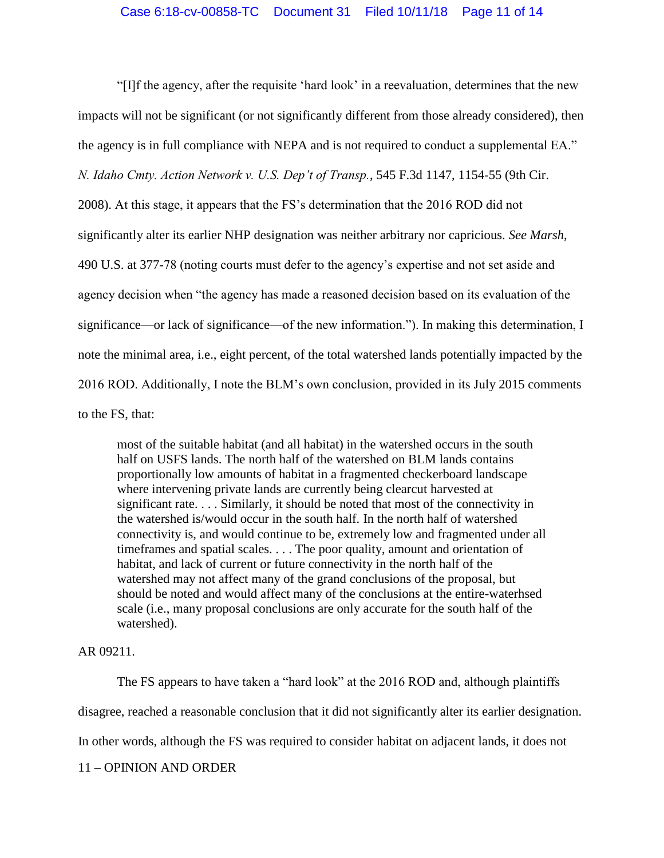"[I]f the agency, after the requisite 'hard look' in a reevaluation, determines that the new impacts will not be significant (or not significantly different from those already considered), then the agency is in full compliance with NEPA and is not required to conduct a supplemental EA." *N. Idaho Cmty. Action Network v. U.S. Dep't of Transp.*, 545 F.3d 1147, 1154-55 (9th Cir.

2008). At this stage, it appears that the FS's determination that the 2016 ROD did not significantly alter its earlier NHP designation was neither arbitrary nor capricious. *See Marsh*, 490 U.S. at 377-78 (noting courts must defer to the agency's expertise and not set aside and agency decision when "the agency has made a reasoned decision based on its evaluation of the significance—or lack of significance—of the new information."). In making this determination, I note the minimal area, i.e., eight percent, of the total watershed lands potentially impacted by the 2016 ROD. Additionally, I note the BLM's own conclusion, provided in its July 2015 comments

to the FS, that:

most of the suitable habitat (and all habitat) in the watershed occurs in the south half on USFS lands. The north half of the watershed on BLM lands contains proportionally low amounts of habitat in a fragmented checkerboard landscape where intervening private lands are currently being clearcut harvested at significant rate. . . . Similarly, it should be noted that most of the connectivity in the watershed is/would occur in the south half. In the north half of watershed connectivity is, and would continue to be, extremely low and fragmented under all timeframes and spatial scales. . . . The poor quality, amount and orientation of habitat, and lack of current or future connectivity in the north half of the watershed may not affect many of the grand conclusions of the proposal, but should be noted and would affect many of the conclusions at the entire-waterhsed scale (i.e., many proposal conclusions are only accurate for the south half of the watershed).

AR 09211.

11 – OPINION AND ORDER The FS appears to have taken a "hard look" at the 2016 ROD and, although plaintiffs disagree, reached a reasonable conclusion that it did not significantly alter its earlier designation. In other words, although the FS was required to consider habitat on adjacent lands, it does not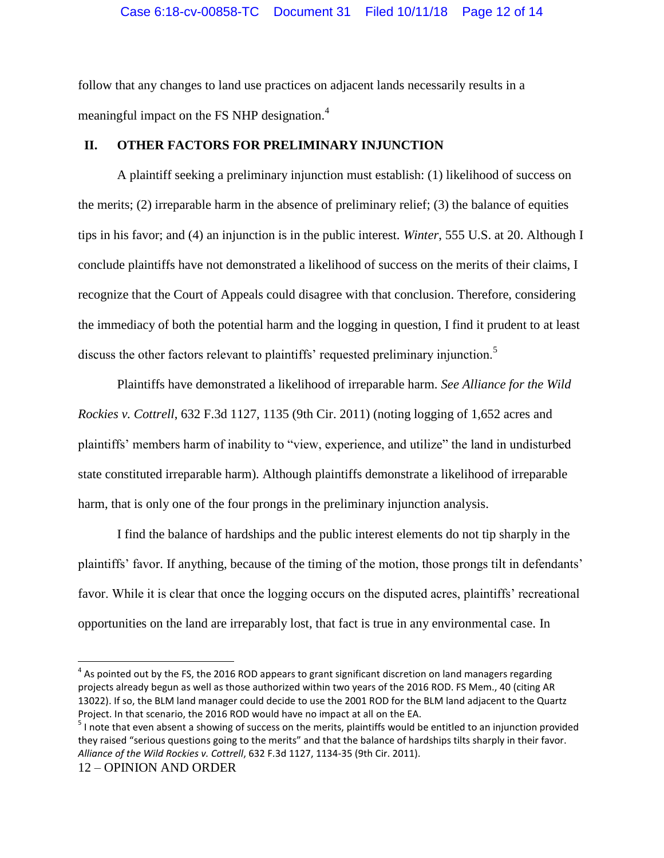follow that any changes to land use practices on adjacent lands necessarily results in a meaningful impact on the FS NHP designation.<sup>4</sup>

# **II. OTHER FACTORS FOR PRELIMINARY INJUNCTION**

A plaintiff seeking a preliminary injunction must establish: (1) likelihood of success on the merits; (2) irreparable harm in the absence of preliminary relief; (3) the balance of equities tips in his favor; and (4) an injunction is in the public interest. *Winter*, 555 U.S. at 20. Although I conclude plaintiffs have not demonstrated a likelihood of success on the merits of their claims, I recognize that the Court of Appeals could disagree with that conclusion. Therefore, considering the immediacy of both the potential harm and the logging in question, I find it prudent to at least discuss the other factors relevant to plaintiffs' requested preliminary injunction.<sup>5</sup>

Plaintiffs have demonstrated a likelihood of irreparable harm. *See Alliance for the Wild Rockies v. Cottrell*, 632 F.3d 1127, 1135 (9th Cir. 2011) (noting logging of 1,652 acres and plaintiffs' members harm of inability to "view, experience, and utilize" the land in undisturbed state constituted irreparable harm). Although plaintiffs demonstrate a likelihood of irreparable harm, that is only one of the four prongs in the preliminary injunction analysis.

I find the balance of hardships and the public interest elements do not tip sharply in the plaintiffs' favor. If anything, because of the timing of the motion, those prongs tilt in defendants' favor. While it is clear that once the logging occurs on the disputed acres, plaintiffs' recreational opportunities on the land are irreparably lost, that fact is true in any environmental case. In

 $\overline{\phantom{a}}$ 

 $^4$  As pointed out by the FS, the 2016 ROD appears to grant significant discretion on land managers regarding projects already begun as well as those authorized within two years of the 2016 ROD. FS Mem., 40 (citing AR 13022). If so, the BLM land manager could decide to use the 2001 ROD for the BLM land adjacent to the Quartz Project. In that scenario, the 2016 ROD would have no impact at all on the EA.

 $5$  I note that even absent a showing of success on the merits, plaintiffs would be entitled to an injunction provided they raised "serious questions going to the merits" and that the balance of hardships tilts sharply in their favor. *Alliance of the Wild Rockies v. Cottrell*, 632 F.3d 1127, 1134-35 (9th Cir. 2011).

<sup>12</sup> – OPINION AND ORDER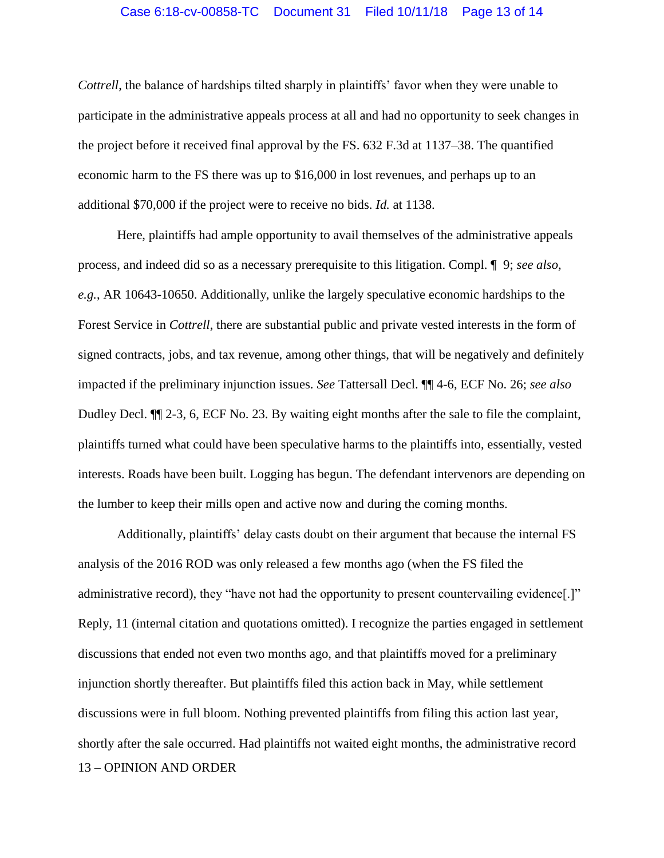#### Case 6:18-cv-00858-TC Document 31 Filed 10/11/18 Page 13 of 14

*Cottrell*, the balance of hardships tilted sharply in plaintiffs' favor when they were unable to participate in the administrative appeals process at all and had no opportunity to seek changes in the project before it received final approval by the FS. 632 F.3d at 1137–38. The quantified economic harm to the FS there was up to \$16,000 in lost revenues, and perhaps up to an additional \$70,000 if the project were to receive no bids. *Id.* at 1138.

Here, plaintiffs had ample opportunity to avail themselves of the administrative appeals process, and indeed did so as a necessary prerequisite to this litigation. Compl. ¶ 9; *see also, e.g.*, AR 10643-10650. Additionally, unlike the largely speculative economic hardships to the Forest Service in *Cottrell*, there are substantial public and private vested interests in the form of signed contracts, jobs, and tax revenue, among other things, that will be negatively and definitely impacted if the preliminary injunction issues. *See* Tattersall Decl. ¶¶ 4-6, ECF No. 26; *see also* Dudley Decl. ¶¶ 2-3, 6, ECF No. 23. By waiting eight months after the sale to file the complaint, plaintiffs turned what could have been speculative harms to the plaintiffs into, essentially, vested interests. Roads have been built. Logging has begun. The defendant intervenors are depending on the lumber to keep their mills open and active now and during the coming months.

13 – OPINION AND ORDER Additionally, plaintiffs' delay casts doubt on their argument that because the internal FS analysis of the 2016 ROD was only released a few months ago (when the FS filed the administrative record), they "have not had the opportunity to present countervailing evidence[.]" Reply, 11 (internal citation and quotations omitted). I recognize the parties engaged in settlement discussions that ended not even two months ago, and that plaintiffs moved for a preliminary injunction shortly thereafter. But plaintiffs filed this action back in May, while settlement discussions were in full bloom. Nothing prevented plaintiffs from filing this action last year, shortly after the sale occurred. Had plaintiffs not waited eight months, the administrative record